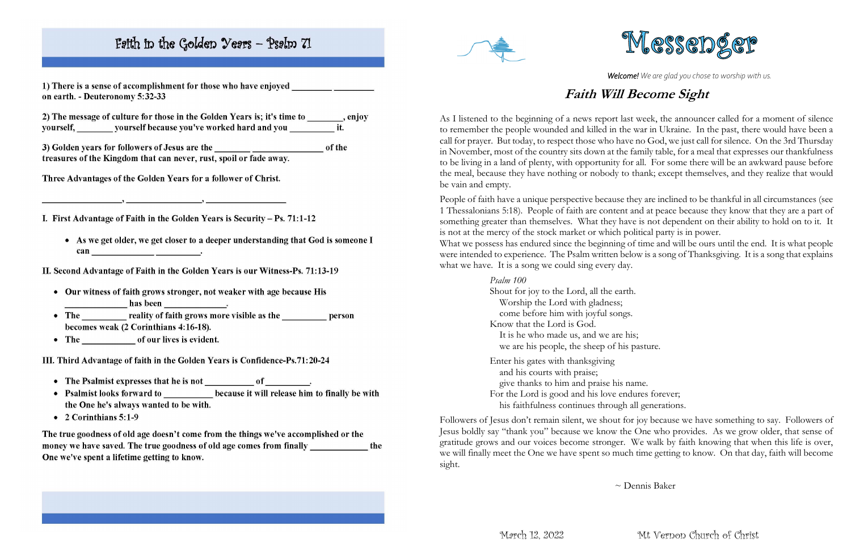# Faith in the Golden Years - Psalm 71

1) There is a sense of accomplishment for those who have enjoyed on earth. - Deuteronomy 5:32-33

2) The message of culture for those in the Golden Years is; it's time to \_\_\_\_\_\_, enjoy yourself, \_\_\_\_\_\_\_\_\_ yourself because you've worked hard and you \_\_\_\_\_\_\_\_\_\_\_\_\_\_\_\_ it.

treasures of the Kingdom that can never, rust, spoil or fade away.

Three Advantages of the Golden Years for a follower of Christ.

I. First Advantage of Faith in the Golden Years is Security – Ps. 71:1-12

• As we get older, we get closer to a deeper understanding that God is someone I 

II. Second Advantage of Faith in the Golden Years is our Witness-Ps. 71:13-19

- Our witness of faith grows stronger, not weaker with age because His
- becomes weak (2 Corinthians 4:16-18).
- The of our lives is evident.

III. Third Advantage of faith in the Golden Years is Confidence-Ps.71:20-24

- 
- Psalmist looks forward to \_\_\_\_\_\_\_\_\_ because it will release him to finally be with the One he's always wanted to be with.
- $\bullet$  2 Corinthians 5:1-9

The true goodness of old age doesn't come from the things we've accomplished or the money we have saved. The true goodness of old age comes from finally the One we've spent a lifetime getting to know.



*Welcome! We are glad you chose to worship with us.*

## **Faith Will Become Sight**

People of faith have a unique perspective because they are inclined to be thankful in all circumstances (see 1 Thessalonians 5:18). People of faith are content and at peace because they know that they are a part of something greater than themselves. What they have is not dependent on their ability to hold on to it. It is not at the mercy of the stock market or which political party is in power. What we possess has endured since the beginning of time and will be ours until the end. It is what people were intended to experience. The Psalm written below is a song of Thanksgiving. It is a song that explains what we have. It is a song we could sing every day.

As I listened to the beginning of a news report last week, the announcer called for a moment of silence to remember the people wounded and killed in the war in Ukraine. In the past, there would have been a call for prayer. But today, to respect those who have no God, we just call for silence. On the 3rd Thursday in November, most of the country sits down at the family table, for a meal that expresses our thankfulness to be living in a land of plenty, with opportunity for all. For some there will be an awkward pause before the meal, because they have nothing or nobody to thank; except themselves, and they realize that would be vain and empty.

*Psalm 100*

Shout for joy to the Lord, all the earth. Worship the Lord with gladness; come before him with joyful songs. Know that the Lord is God. It is he who made us, and we are his; we are his people, the sheep of his pasture.

Enter his gates with thanksgiving and his courts with praise; give thanks to him and praise his name. For the Lord is good and his love endures forever; his faithfulness continues through all generations.

Followers of Jesus don't remain silent, we shout for joy because we have something to say. Followers of Jesus boldly say "thank you" because we know the One who provides. As we grow older, that sense of gratitude grows and our voices become stronger. We walk by faith knowing that when this life is over, we will finally meet the One we have spent so much time getting to know. On that day, faith will become sight.



~ Dennis Baker